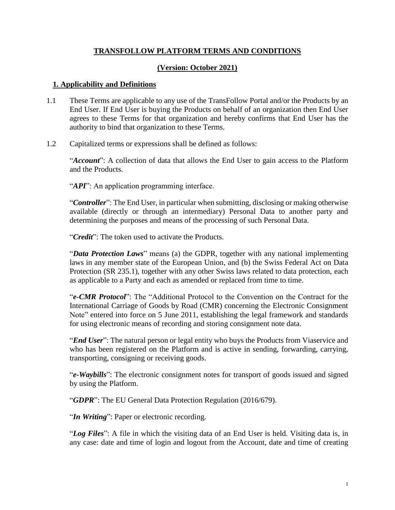# **TRANSFOLLOW PLATFORM TERMS AND CONDITIONS**

# **(Version: October 2021)**

## **1. Applicability and Definitions**

- 1.1 These Terms are applicable to any use of the TransFollow Portal and/or the Products by an End User. If End User is buying the Products on behalf of an organization then End User agrees to these Terms for that organization and hereby confirms that End User has the authority to bind that organization to these Terms.
- 1.2 Capitalized terms or expressions shall be defined as follows:

"*Account*": A collection of data that allows the End User to gain access to the Platform and the Products.

"*API*": An application programming interface.

"*Controller*": The End User, in particular when submitting, disclosing or making otherwise available (directly or through an intermediary) Personal Data to another party and determining the purposes and means of the processing of such Personal Data.

"*Credit*": The token used to activate the Products.

"*Data Protection Laws*" means (a) the GDPR, together with any national implementing laws in any member state of the European Union, and (b) the Swiss Federal Act on Data Protection (SR 235.1), together with any other Swiss laws related to data protection, each as applicable to a Party and each as amended or replaced from time to time.

"*e-CMR Protocol*": The "Additional Protocol to the Convention on the Contract for the International Carriage of Goods by Road (CMR) concerning the Electronic Consignment Note" entered into force on 5 June 2011, establishing the legal framework and standards for using electronic means of recording and storing consignment note data.

"*End User*": The natural person or legal entity who buys the Products from Viaservice and who has been registered on the Platform and is active in sending, forwarding, carrying, transporting, consigning or receiving goods.

"*e-Waybills*": The electronic consignment notes for transport of goods issued and signed by using the Platform.

"*GDPR*": The EU General Data Protection Regulation (2016/679).

"*In Writing*": Paper or electronic recording.

"*Log Files*": A file in which the visiting data of an End User is held. Visiting data is, in any case: date and time of login and logout from the Account, date and time of creating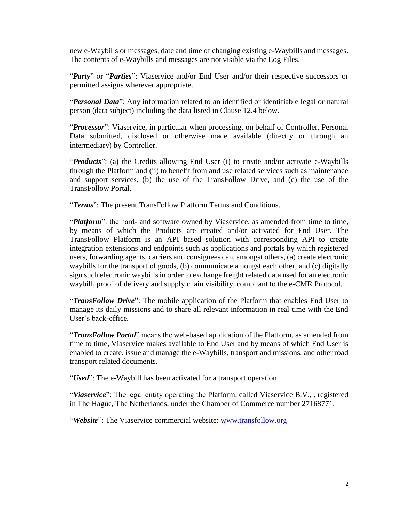new e-Waybills or messages, date and time of changing existing e-Waybills and messages. The contents of e-Waybills and messages are not visible via the Log Files.

"*Party*" or "*Parties*": Viaservice and/or End User and/or their respective successors or permitted assigns wherever appropriate.

"*Personal Data*": Any information related to an identified or identifiable legal or natural person (data subject) including the data listed in Clause 12.4 below.

"*Processor*": Viaservice, in particular when processing, on behalf of Controller, Personal Data submitted, disclosed or otherwise made available (directly or through an intermediary) by Controller.

"*Products*": (a) the Credits allowing End User (i) to create and/or activate e-Waybills through the Platform and (ii) to benefit from and use related services such as maintenance and support services, (b) the use of the TransFollow Drive, and (c) the use of the TransFollow Portal.

"*Terms*": The present TransFollow Platform Terms and Conditions.

"*Platform*": the hard- and software owned by Viaservice, as amended from time to time, by means of which the Products are created and/or activated for End User. The TransFollow Platform is an API based solution with corresponding API to create integration extensions and endpoints such as applications and portals by which registered users, forwarding agents, carriers and consignees can, amongst others, (a) create electronic waybills for the transport of goods, (b) communicate amongst each other, and (c) digitally sign such electronic waybills in order to exchange freight related data used for an electronic waybill, proof of delivery and supply chain visibility, compliant to the e-CMR Protocol.

"*TransFollow Drive*": The mobile application of the Platform that enables End User to manage its daily missions and to share all relevant information in real time with the End User's back-office.

"*TransFollow Portal*" means the web-based application of the Platform, as amended from time to time, Viaservice makes available to End User and by means of which End User is enabled to create, issue and manage the e-Waybills, transport and missions, and other road transport related documents.

"*Used*": The e-Waybill has been activated for a transport operation.

"*Viaservice*": The legal entity operating the Platform, called Viaservice B.V., , registered in The Hague, The Netherlands, under the Chamber of Commerce number 27168771.

"*Website*": The Viaservice commercial website: [www.transfollow.org](http://www.transfollow.org/)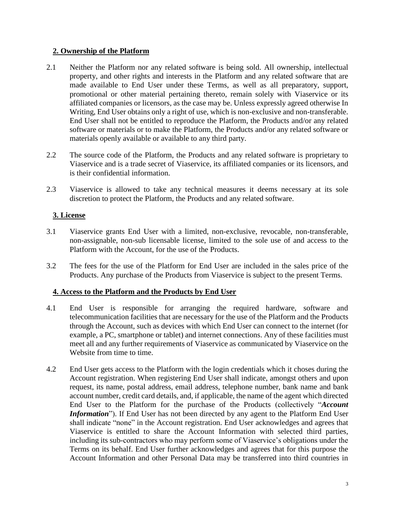## **2. Ownership of the Platform**

- 2.1 Neither the Platform nor any related software is being sold. All ownership, intellectual property, and other rights and interests in the Platform and any related software that are made available to End User under these Terms, as well as all preparatory, support, promotional or other material pertaining thereto, remain solely with Viaservice or its affiliated companies or licensors, as the case may be. Unless expressly agreed otherwise In Writing, End User obtains only a right of use, which is non-exclusive and non-transferable. End User shall not be entitled to reproduce the Platform, the Products and/or any related software or materials or to make the Platform, the Products and/or any related software or materials openly available or available to any third party.
- 2.2 The source code of the Platform, the Products and any related software is proprietary to Viaservice and is a trade secret of Viaservice, its affiliated companies or its licensors, and is their confidential information.
- 2.3 Viaservice is allowed to take any technical measures it deems necessary at its sole discretion to protect the Platform, the Products and any related software.

## **3. License**

- 3.1 Viaservice grants End User with a limited, non-exclusive, revocable, non-transferable, non-assignable, non-sub licensable license, limited to the sole use of and access to the Platform with the Account, for the use of the Products.
- 3.2 The fees for the use of the Platform for End User are included in the sales price of the Products. Any purchase of the Products from Viaservice is subject to the present Terms.

### **4. Access to the Platform and the Products by End User**

- <span id="page-2-0"></span>4.1 End User is responsible for arranging the required hardware, software and telecommunication facilities that are necessary for the use of the Platform and the Products through the Account, such as devices with which End User can connect to the internet (for example, a PC, smartphone or tablet) and internet connections. Any of these facilities must meet all and any further requirements of Viaservice as communicated by Viaservice on the Website from time to time.
- 4.2 End User gets access to the Platform with the login credentials which it choses during the Account registration. When registering End User shall indicate, amongst others and upon request, its name, postal address, email address, telephone number, bank name and bank account number, credit card details, and, if applicable, the name of the agent which directed End User to the Platform for the purchase of the Products (collectively "*Account Information*"). If End User has not been directed by any agent to the Platform End User shall indicate "none" in the Account registration. End User acknowledges and agrees that Viaservice is entitled to share the Account Information with selected third parties, including its sub-contractors who may perform some of Viaservice's obligations under the Terms on its behalf. End User further acknowledges and agrees that for this purpose the Account Information and other Personal Data may be transferred into third countries in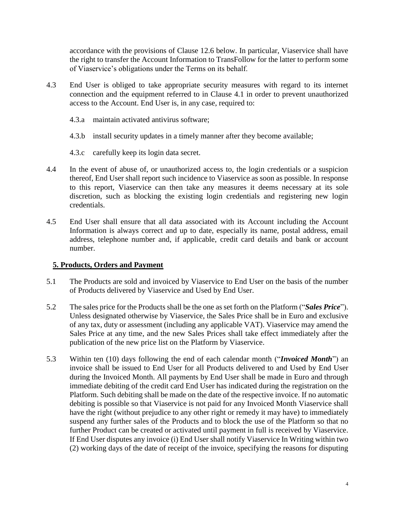accordance with the provisions of Clause 12.6 below. In particular, Viaservice shall have the right to transfer the Account Information to TransFollow for the latter to perform some of Viaservice's obligations under the Terms on its behalf.

- 4.3 End User is obliged to take appropriate security measures with regard to its internet connection and the equipment referred to in Clause [4.1](#page-2-0) in order to prevent unauthorized access to the Account. End User is, in any case, required to:
	- 4.3.a maintain activated antivirus software;
	- 4.3.b install security updates in a timely manner after they become available;
	- 4.3.c carefully keep its login data secret.
- 4.4 In the event of abuse of, or unauthorized access to, the login credentials or a suspicion thereof, End User shall report such incidence to Viaservice as soon as possible. In response to this report, Viaservice can then take any measures it deems necessary at its sole discretion, such as blocking the existing login credentials and registering new login credentials.
- 4.5 End User shall ensure that all data associated with its Account including the Account Information is always correct and up to date, especially its name, postal address, email address, telephone number and, if applicable, credit card details and bank or account number.

## **5. Products, Orders and Payment**

- 5.1 The Products are sold and invoiced by Viaservice to End User on the basis of the number of Products delivered by Viaservice and Used by End User.
- 5.2 The sales price for the Products shall be the one as set forth on the Platform ("*Sales Price*"). Unless designated otherwise by Viaservice, the Sales Price shall be in Euro and exclusive of any tax, duty or assessment (including any applicable VAT). Viaservice may amend the Sales Price at any time, and the new Sales Prices shall take effect immediately after the publication of the new price list on the Platform by Viaservice.
- 5.3 Within ten (10) days following the end of each calendar month ("*Invoiced Month*") an invoice shall be issued to End User for all Products delivered to and Used by End User during the Invoiced Month. All payments by End User shall be made in Euro and through immediate debiting of the credit card End User has indicated during the registration on the Platform. Such debiting shall be made on the date of the respective invoice. If no automatic debiting is possible so that Viaservice is not paid for any Invoiced Month Viaservice shall have the right (without prejudice to any other right or remedy it may have) to immediately suspend any further sales of the Products and to block the use of the Platform so that no further Product can be created or activated until payment in full is received by Viaservice. If End User disputes any invoice (i) End User shall notify Viaservice In Writing within two (2) working days of the date of receipt of the invoice, specifying the reasons for disputing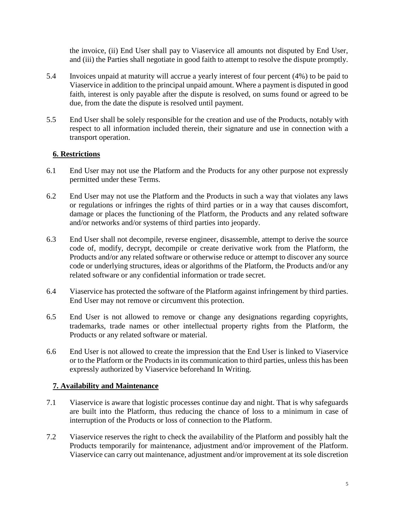the invoice, (ii) End User shall pay to Viaservice all amounts not disputed by End User, and (iii) the Parties shall negotiate in good faith to attempt to resolve the dispute promptly.

- 5.4 Invoices unpaid at maturity will accrue a yearly interest of four percent (4%) to be paid to Viaservice in addition to the principal unpaid amount. Where a payment is disputed in good faith, interest is only payable after the dispute is resolved, on sums found or agreed to be due, from the date the dispute is resolved until payment.
- 5.5 End User shall be solely responsible for the creation and use of the Products, notably with respect to all information included therein, their signature and use in connection with a transport operation.

## **6. Restrictions**

- 6.1 End User may not use the Platform and the Products for any other purpose not expressly permitted under these Terms.
- 6.2 End User may not use the Platform and the Products in such a way that violates any laws or regulations or infringes the rights of third parties or in a way that causes discomfort, damage or places the functioning of the Platform, the Products and any related software and/or networks and/or systems of third parties into jeopardy.
- 6.3 End User shall not decompile, reverse engineer, disassemble, attempt to derive the source code of, modify, decrypt, decompile or create derivative work from the Platform, the Products and/or any related software or otherwise reduce or attempt to discover any source code or underlying structures, ideas or algorithms of the Platform, the Products and/or any related software or any confidential information or trade secret.
- 6.4 Viaservice has protected the software of the Platform against infringement by third parties. End User may not remove or circumvent this protection.
- 6.5 End User is not allowed to remove or change any designations regarding copyrights, trademarks, trade names or other intellectual property rights from the Platform, the Products or any related software or material.
- 6.6 End User is not allowed to create the impression that the End User is linked to Viaservice or to the Platform or the Products in its communication to third parties, unless this has been expressly authorized by Viaservice beforehand In Writing.

### **7. Availability and Maintenance**

- 7.1 Viaservice is aware that logistic processes continue day and night. That is why safeguards are built into the Platform, thus reducing the chance of loss to a minimum in case of interruption of the Products or loss of connection to the Platform.
- 7.2 Viaservice reserves the right to check the availability of the Platform and possibly halt the Products temporarily for maintenance, adjustment and/or improvement of the Platform. Viaservice can carry out maintenance, adjustment and/or improvement at its sole discretion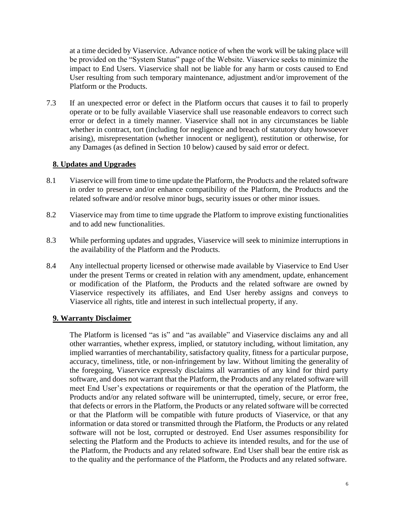at a time decided by Viaservice. Advance notice of when the work will be taking place will be provided on the "System Status" page of the Website. Viaservice seeks to minimize the impact to End Users. Viaservice shall not be liable for any harm or costs caused to End User resulting from such temporary maintenance, adjustment and/or improvement of the Platform or the Products.

7.3 If an unexpected error or defect in the Platform occurs that causes it to fail to properly operate or to be fully available Viaservice shall use reasonable endeavors to correct such error or defect in a timely manner. Viaservice shall not in any circumstances be liable whether in contract, tort (including for negligence and breach of statutory duty howsoever arising), misrepresentation (whether innocent or negligent), restitution or otherwise, for any Damages (as defined in Section 10 below) caused by said error or defect.

## **8. Updates and Upgrades**

- 8.1 Viaservice will from time to time update the Platform, the Products and the related software in order to preserve and/or enhance compatibility of the Platform, the Products and the related software and/or resolve minor bugs, security issues or other minor issues.
- 8.2 Viaservice may from time to time upgrade the Platform to improve existing functionalities and to add new functionalities.
- 8.3 While performing updates and upgrades, Viaservice will seek to minimize interruptions in the availability of the Platform and the Products.
- 8.4 Any intellectual property licensed or otherwise made available by Viaservice to End User under the present Terms or created in relation with any amendment, update, enhancement or modification of the Platform, the Products and the related software are owned by Viaservice respectively its affiliates, and End User hereby assigns and conveys to Viaservice all rights, title and interest in such intellectual property, if any.

### **9. Warranty Disclaimer**

The Platform is licensed "as is" and "as available" and Viaservice disclaims any and all other warranties, whether express, implied, or statutory including, without limitation, any implied warranties of merchantability, satisfactory quality, fitness for a particular purpose, accuracy, timeliness, title, or non-infringement by law. Without limiting the generality of the foregoing, Viaservice expressly disclaims all warranties of any kind for third party software, and does not warrant that the Platform, the Products and any related software will meet End User's expectations or requirements or that the operation of the Platform, the Products and/or any related software will be uninterrupted, timely, secure, or error free, that defects or errors in the Platform, the Products or any related software will be corrected or that the Platform will be compatible with future products of Viaservice, or that any information or data stored or transmitted through the Platform, the Products or any related software will not be lost, corrupted or destroyed. End User assumes responsibility for selecting the Platform and the Products to achieve its intended results, and for the use of the Platform, the Products and any related software. End User shall bear the entire risk as to the quality and the performance of the Platform, the Products and any related software.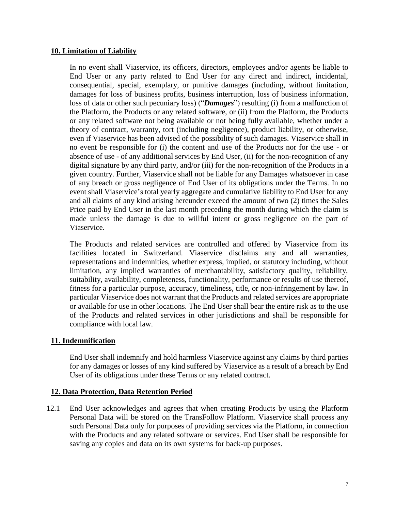### **10. Limitation of Liability**

In no event shall Viaservice, its officers, directors, employees and/or agents be liable to End User or any party related to End User for any direct and indirect, incidental, consequential, special, exemplary, or punitive damages (including, without limitation, damages for loss of business profits, business interruption, loss of business information, loss of data or other such pecuniary loss) ("*Damages*") resulting (i) from a malfunction of the Platform, the Products or any related software, or (ii) from the Platform, the Products or any related software not being available or not being fully available, whether under a theory of contract, warranty, tort (including negligence), product liability, or otherwise, even if Viaservice has been advised of the possibility of such damages. Viaservice shall in no event be responsible for (i) the content and use of the Products nor for the use - or absence of use - of any additional services by End User, (ii) for the non-recognition of any digital signature by any third party, and/or (iii) for the non-recognition of the Products in a given country. Further, Viaservice shall not be liable for any Damages whatsoever in case of any breach or gross negligence of End User of its obligations under the Terms. In no event shall Viaservice's total yearly aggregate and cumulative liability to End User for any and all claims of any kind arising hereunder exceed the amount of two (2) times the Sales Price paid by End User in the last month preceding the month during which the claim is made unless the damage is due to willful intent or gross negligence on the part of Viaservice.

The Products and related services are controlled and offered by Viaservice from its facilities located in Switzerland. Viaservice disclaims any and all warranties, representations and indemnities, whether express, implied, or statutory including, without limitation, any implied warranties of merchantability, satisfactory quality, reliability, suitability, availability, completeness, functionality, performance or results of use thereof, fitness for a particular purpose, accuracy, timeliness, title, or non-infringement by law. In particular Viaservice does not warrant that the Products and related services are appropriate or available for use in other locations. The End User shall bear the entire risk as to the use of the Products and related services in other jurisdictions and shall be responsible for compliance with local law.

### **11. Indemnification**

End User shall indemnify and hold harmless Viaservice against any claims by third parties for any damages or losses of any kind suffered by Viaservice as a result of a breach by End User of its obligations under these Terms or any related contract.

### **12. Data Protection, Data Retention Period**

12.1 End User acknowledges and agrees that when creating Products by using the Platform Personal Data will be stored on the TransFollow Platform. Viaservice shall process any such Personal Data only for purposes of providing services via the Platform, in connection with the Products and any related software or services. End User shall be responsible for saving any copies and data on its own systems for back-up purposes.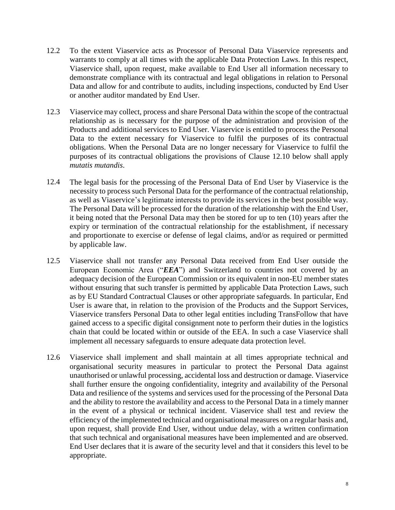- 12.2 To the extent Viaservice acts as Processor of Personal Data Viaservice represents and warrants to comply at all times with the applicable Data Protection Laws. In this respect, Viaservice shall, upon request, make available to End User all information necessary to demonstrate compliance with its contractual and legal obligations in relation to Personal Data and allow for and contribute to audits, including inspections, conducted by End User or another auditor mandated by End User.
- 12.3 Viaservice may collect, process and share Personal Data within the scope of the contractual relationship as is necessary for the purpose of the administration and provision of the Products and additional services to End User. Viaservice is entitled to process the Personal Data to the extent necessary for Viaservice to fulfil the purposes of its contractual obligations. When the Personal Data are no longer necessary for Viaservice to fulfil the purposes of its contractual obligations the provisions of Clause 12.10 below shall apply *mutatis mutandis*.
- 12.4 The legal basis for the processing of the Personal Data of End User by Viaservice is the necessity to process such Personal Data for the performance of the contractual relationship, as well as Viaservice's legitimate interests to provide its services in the best possible way. The Personal Data will be processed for the duration of the relationship with the End User, it being noted that the Personal Data may then be stored for up to ten (10) years after the expiry or termination of the contractual relationship for the establishment, if necessary and proportionate to exercise or defense of legal claims, and/or as required or permitted by applicable law.
- 12.5 Viaservice shall not transfer any Personal Data received from End User outside the European Economic Area ("*EEA*") and Switzerland to countries not covered by an adequacy decision of the European Commission or its equivalent in non-EU member states without ensuring that such transfer is permitted by applicable Data Protection Laws, such as by EU Standard Contractual Clauses or other appropriate safeguards. In particular, End User is aware that, in relation to the provision of the Products and the Support Services, Viaservice transfers Personal Data to other legal entities including TransFollow that have gained access to a specific digital consignment note to perform their duties in the logistics chain that could be located within or outside of the EEA. In such a case Viaservice shall implement all necessary safeguards to ensure adequate data protection level.
- 12.6 Viaservice shall implement and shall maintain at all times appropriate technical and organisational security measures in particular to protect the Personal Data against unauthorised or unlawful processing, accidental loss and destruction or damage. Viaservice shall further ensure the ongoing confidentiality, integrity and availability of the Personal Data and resilience of the systems and services used for the processing of the Personal Data and the ability to restore the availability and access to the Personal Data in a timely manner in the event of a physical or technical incident. Viaservice shall test and review the efficiency of the implemented technical and organisational measures on a regular basis and, upon request, shall provide End User, without undue delay, with a written confirmation that such technical and organisational measures have been implemented and are observed. End User declares that it is aware of the security level and that it considers this level to be appropriate.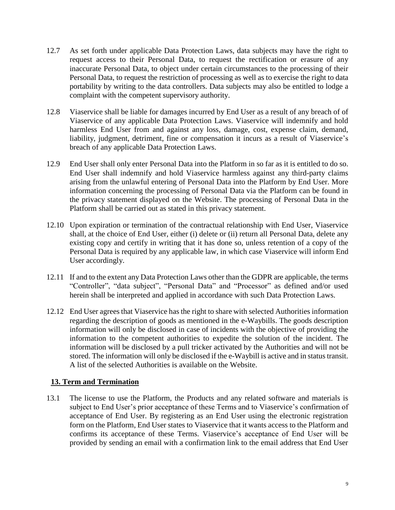- 12.7 As set forth under applicable Data Protection Laws, data subjects may have the right to request access to their Personal Data, to request the rectification or erasure of any inaccurate Personal Data, to object under certain circumstances to the processing of their Personal Data, to request the restriction of processing as well as to exercise the right to data portability by writing to the data controllers. Data subjects may also be entitled to lodge a complaint with the competent supervisory authority.
- 12.8 Viaservice shall be liable for damages incurred by End User as a result of any breach of of Viaservice of any applicable Data Protection Laws. Viaservice will indemnify and hold harmless End User from and against any loss, damage, cost, expense claim, demand, liability, judgment, detriment, fine or compensation it incurs as a result of Viaservice's breach of any applicable Data Protection Laws.
- 12.9 End User shall only enter Personal Data into the Platform in so far as it is entitled to do so. End User shall indemnify and hold Viaservice harmless against any third-party claims arising from the unlawful entering of Personal Data into the Platform by End User. More information concerning the processing of Personal Data via the Platform can be found in the privacy statement displayed on the Website. The processing of Personal Data in the Platform shall be carried out as stated in this privacy statement.
- 12.10 Upon expiration or termination of the contractual relationship with End User, Viaservice shall, at the choice of End User, either (i) delete or (ii) return all Personal Data, delete any existing copy and certify in writing that it has done so, unless retention of a copy of the Personal Data is required by any applicable law, in which case Viaservice will inform End User accordingly.
- 12.11 If and to the extent any Data Protection Laws other than the GDPR are applicable, the terms "Controller", "data subject", "Personal Data" and "Processor" as defined and/or used herein shall be interpreted and applied in accordance with such Data Protection Laws.
- 12.12 End User agrees that Viaservice has the right to share with selected Authorities information regarding the description of goods as mentioned in the e-Waybills. The goods description information will only be disclosed in case of incidents with the objective of providing the information to the competent authorities to expedite the solution of the incident. The information will be disclosed by a pull tricker activated by the Authorities and will not be stored. The information will only be disclosed if the e-Waybill is active and in status transit. A list of the selected Authorities is available on the Website.

## **13. Term and Termination**

13.1 The license to use the Platform, the Products and any related software and materials is subject to End User's prior acceptance of these Terms and to Viaservice's confirmation of acceptance of End User. By registering as an End User using the electronic registration form on the Platform, End User states to Viaservice that it wants access to the Platform and confirms its acceptance of these Terms. Viaservice's acceptance of End User will be provided by sending an email with a confirmation link to the email address that End User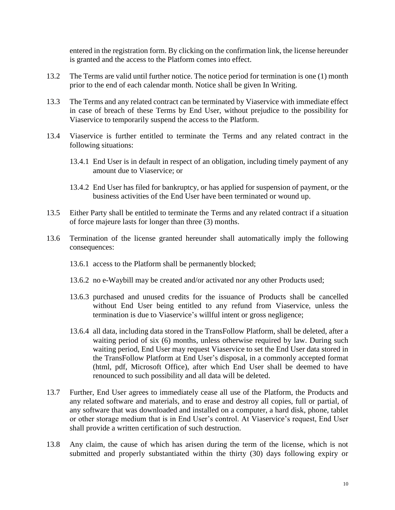entered in the registration form. By clicking on the confirmation link, the license hereunder is granted and the access to the Platform comes into effect.

- 13.2 The Terms are valid until further notice. The notice period for termination is one (1) month prior to the end of each calendar month. Notice shall be given In Writing.
- 13.3 The Terms and any related contract can be terminated by Viaservice with immediate effect in case of breach of these Terms by End User, without prejudice to the possibility for Viaservice to temporarily suspend the access to the Platform.
- 13.4 Viaservice is further entitled to terminate the Terms and any related contract in the following situations:
	- 13.4.1 End User is in default in respect of an obligation, including timely payment of any amount due to Viaservice; or
	- 13.4.2 End User has filed for bankruptcy, or has applied for suspension of payment, or the business activities of the End User have been terminated or wound up.
- 13.5 Either Party shall be entitled to terminate the Terms and any related contract if a situation of force majeure lasts for longer than three (3) months.
- 13.6 Termination of the license granted hereunder shall automatically imply the following consequences:
	- 13.6.1 access to the Platform shall be permanently blocked;
	- 13.6.2 no e-Waybill may be created and/or activated nor any other Products used;
	- 13.6.3 purchased and unused credits for the issuance of Products shall be cancelled without End User being entitled to any refund from Viaservice, unless the termination is due to Viaservice's willful intent or gross negligence;
	- 13.6.4 all data, including data stored in the TransFollow Platform, shall be deleted, after a waiting period of six (6) months, unless otherwise required by law. During such waiting period, End User may request Viaservice to set the End User data stored in the TransFollow Platform at End User's disposal, in a commonly accepted format (html, pdf, Microsoft Office), after which End User shall be deemed to have renounced to such possibility and all data will be deleted.
- 13.7 Further, End User agrees to immediately cease all use of the Platform, the Products and any related software and materials, and to erase and destroy all copies, full or partial, of any software that was downloaded and installed on a computer, a hard disk, phone, tablet or other storage medium that is in End User's control. At Viaservice's request, End User shall provide a written certification of such destruction.
- 13.8 Any claim, the cause of which has arisen during the term of the license, which is not submitted and properly substantiated within the thirty (30) days following expiry or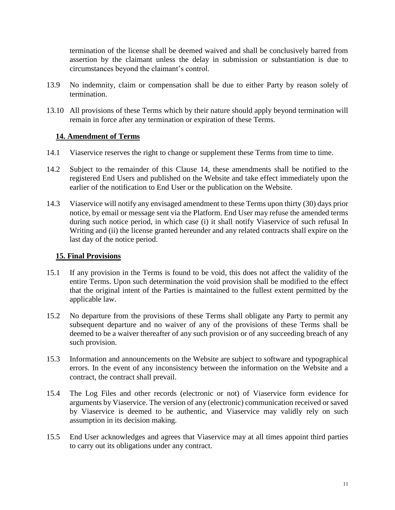termination of the license shall be deemed waived and shall be conclusively barred from assertion by the claimant unless the delay in submission or substantiation is due to circumstances beyond the claimant's control.

- 13.9 No indemnity, claim or compensation shall be due to either Party by reason solely of termination.
- 13.10 All provisions of these Terms which by their nature should apply beyond termination will remain in force after any termination or expiration of these Terms.

## **14. Amendment of Terms**

- 14.1 Viaservice reserves the right to change or supplement these Terms from time to time.
- 14.2 Subject to the remainder of this Clause 14, these amendments shall be notified to the registered End Users and published on the Website and take effect immediately upon the earlier of the notification to End User or the publication on the Website.
- 14.3 Viaservice will notify any envisaged amendment to these Terms upon thirty (30) days prior notice, by email or message sent via the Platform. End User may refuse the amended terms during such notice period, in which case (i) it shall notify Viaservice of such refusal In Writing and (ii) the license granted hereunder and any related contracts shall expire on the last day of the notice period.

### **15. Final Provisions**

- 15.1 If any provision in the Terms is found to be void, this does not affect the validity of the entire Terms. Upon such determination the void provision shall be modified to the effect that the original intent of the Parties is maintained to the fullest extent permitted by the applicable law.
- 15.2 No departure from the provisions of these Terms shall obligate any Party to permit any subsequent departure and no waiver of any of the provisions of these Terms shall be deemed to be a waiver thereafter of any such provision or of any succeeding breach of any such provision.
- 15.3 Information and announcements on the Website are subject to software and typographical errors. In the event of any inconsistency between the information on the Website and a contract, the contract shall prevail.
- 15.4 The Log Files and other records (electronic or not) of Viaservice form evidence for arguments by Viaservice. The version of any (electronic) communication received or saved by Viaservice is deemed to be authentic, and Viaservice may validly rely on such assumption in its decision making.
- 15.5 End User acknowledges and agrees that Viaservice may at all times appoint third parties to carry out its obligations under any contract.